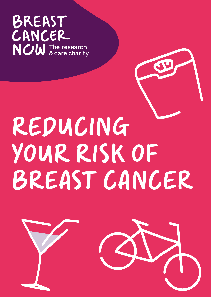#### **BREAST** CANCER **NOW** The research

# REDUCING YOUR RISK OF BREAST CANCER

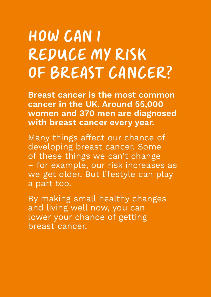## HOW CAN I REDUCE MY RISK OF BREAST CANCER?

**Breast cancer is the most common cancer in the UK. Around 55,000 women and 370 men are diagnosed with breast cancer every year.**

Many things affect our chance of developing breast cancer. Some of these things we can't change – for example, our risk increases as we get older. But lifestyle can play a part too.

By making small healthy changes and living well now, you can lower your chance of getting breast cancer.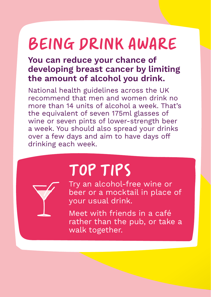#### BEING DRINK AWARE

#### **You can reduce your chance of developing breast cancer by limiting the amount of alcohol you drink.**

National health guidelines across the UK recommend that men and women drink no more than 14 units of alcohol a week. That's the equivalent of seven 175ml glasses of wine or seven pints of lower-strength beer a week. You should also spread your drinks over a few days and aim to have days off drinking each week.

### TOP TIPS

Try an alcohol-free wine or beer or a mocktail in place of your usual drink.

Meet with friends in a café rather than the pub, or take a walk together.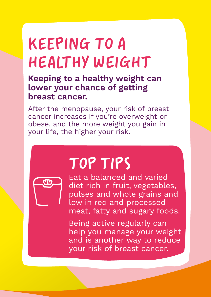### KEEPING TO A HEALTHY WEIGHT

**Keeping to a healthy weight can lower your chance of getting breast cancer.**

After the menopause, your risk of breast cancer increases if you're overweight or obese, and the more weight you gain in your life, the higher your risk.



#### TOP TIPS

Eat a balanced and varied diet rich in fruit, vegetables, pulses and whole grains and low in red and processed meat, fatty and sugary foods.

Being active regularly can help you manage your weight and is another way to reduce your risk of breast cancer.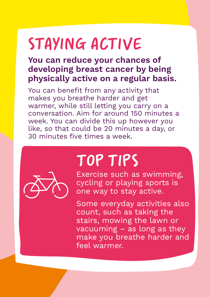# STAYING ACTIVE

#### **You can reduce your chances of developing breast cancer by being physically active on a regular basis.**

You can benefit from any activity that makes you breathe harder and get warmer, while still letting you carry on a conversation. Aim for around 150 minutes a week. You can divide this up however you like, so that could be 20 minutes a day, or 30 minutes five times a week.



#### TOP TIPS

Exercise such as swimming, cycling or playing sports is one way to stay active.

Some everyday activities also count, such as taking the stairs, mowing the lawn or vacuuming – as long as they make you breathe harder and feel warmer.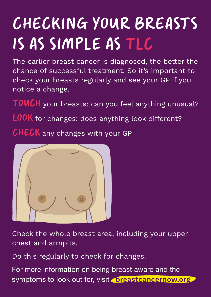# CHECKING YOUR BREASTS IS AS SIMPLE AS TLC

The earlier breast cancer is diagnosed, the better the chance of successful treatment. So it's important to check your breasts regularly and see your GP if you notice a change.

TOUCH your breasts: can you feel anything unusual?

LOOK for changes: does anything look different?

CHECK any changes with your GP



Check the whole breast area, including your upper chest and armpits.

Do this regularly to check for changes.

For more information on being breast aware and the symptoms to look out for, visit **breastcancernow.org**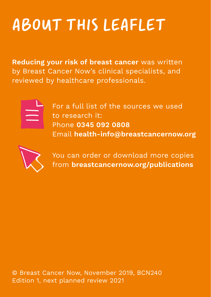# ABOUT THIS LEAFLET

**Reducing your risk of breast cancer** was written by Breast Cancer Now's clinical specialists, and reviewed by healthcare professionals.



For a full list of the sources we used to research it: Phone **0345 092 0808** Email **health-info@breastcancernow.org**



You can order or download more copies from **breastcancernow.org/publications**

© Breast Cancer Now, November 2019, BCN240 Edition 1, next planned review 2021